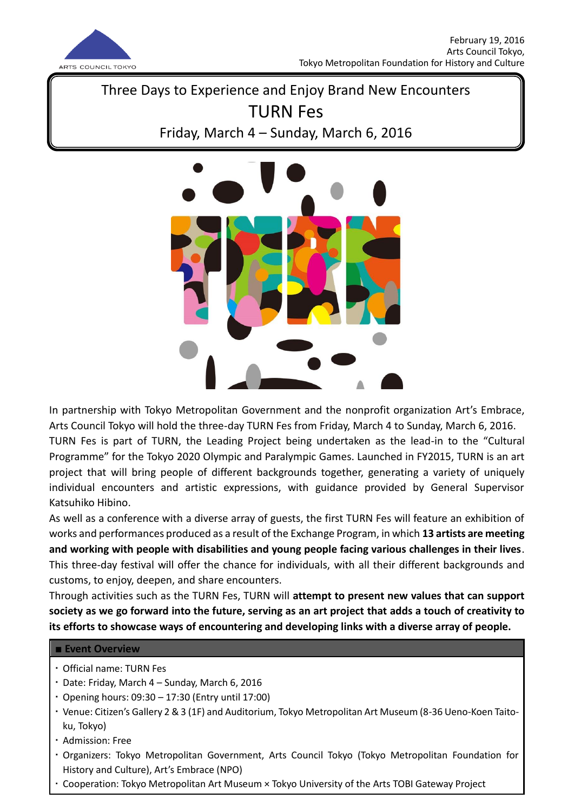

Three Days to Experience and Enjoy Brand New Encounters TURN Fes Friday, March 4 – Sunday, March 6, 2016



In partnership with Tokyo Metropolitan Government and the nonprofit organization Art's Embrace, Arts Council Tokyo will hold the three-day TURN Fes from Friday, March 4 to Sunday, March 6, 2016.

TURN Fes is part of TURN, the Leading Project being undertaken as the lead-in to the "Cultural Programme" for the Tokyo 2020 Olympic and Paralympic Games. Launched in FY2015, TURN is an art project that will bring people of different backgrounds together, generating a variety of uniquely individual encounters and artistic expressions, with guidance provided by General Supervisor Katsuhiko Hibino.

As well as a conference with a diverse array of guests, the first TURN Fes will feature an exhibition of works and performances produced as a result of the Exchange Program, in which **13 artists are meeting and working with people with disabilities and young people facing various challenges in their lives**. This three-day festival will offer the chance for individuals, with all their different backgrounds and customs, to enjoy, deepen, and share encounters.

Through activities such as the TURN Fes, TURN will **attempt to present new values that can support society as we go forward into the future, serving as an art project that adds a touch of creativity to its efforts to showcase ways of encountering and developing links with a diverse array of people.**

# **■ Event Overview**

- Official name: TURN Fes
- Date: Friday, March 4 Sunday, March 6, 2016
- Opening hours: 09:30 17:30 (Entry until 17:00)
- Venue: Citizen's Gallery 2 & 3 (1F) and Auditorium, Tokyo Metropolitan Art Museum (8-36 Ueno-Koen Taitoku, Tokyo)
- Admission: Free
- Organizers: Tokyo Metropolitan Government, Arts Council Tokyo (Tokyo Metropolitan Foundation for History and Culture), Art's Embrace (NPO)
- Cooperation: Tokyo Metropolitan Art Museum × Tokyo University of the Arts TOBI Gateway Project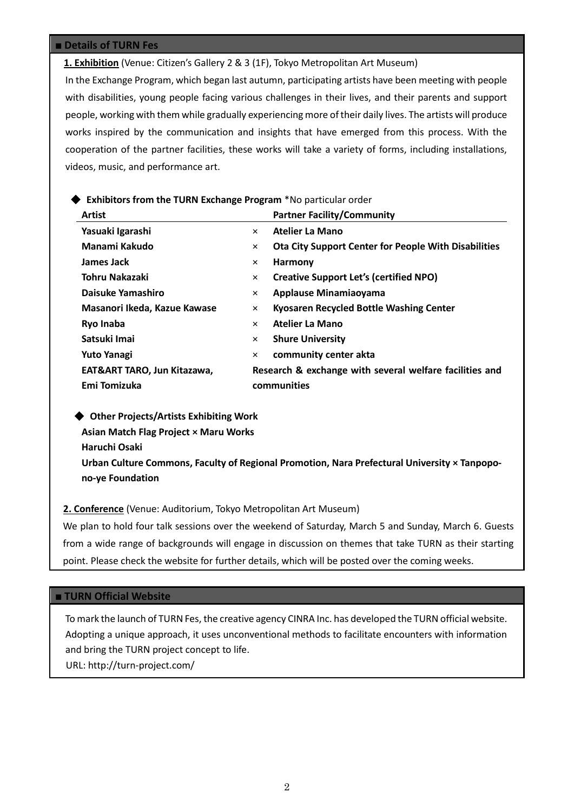### **■ Details of TURN Fes**

**1. Exhibition** (Venue: Citizen's Gallery 2 & 3 (1F), Tokyo Metropolitan Art Museum)

In the Exchange Program, which began last autumn, participating artists have been meeting with people with disabilities, young people facing various challenges in their lives, and their parents and support people, working with them while gradually experiencing more of their daily lives. The artists will produce works inspired by the communication and insights that have emerged from this process. With the cooperation of the partner facilities, these works will take a variety of forms, including installations, videos, music, and performance art.

## ◆ **Exhibitors from the TURN Exchange Program** \*No particular order

| <b>Artist</b>                |          | <b>Partner Facility/Community</b>                           |  |
|------------------------------|----------|-------------------------------------------------------------|--|
| Yasuaki Igarashi             | $\times$ | <b>Atelier La Mano</b>                                      |  |
| Manami Kakudo                | ×        | <b>Ota City Support Center for People With Disabilities</b> |  |
| James Jack                   | ×        | Harmony                                                     |  |
| Tohru Nakazaki               | ×        | <b>Creative Support Let's (certified NPO)</b>               |  |
| Daisuke Yamashiro            | ×        | Applause Minamiaoyama                                       |  |
| Masanori Ikeda, Kazue Kawase | $\times$ | Kyosaren Recycled Bottle Washing Center                     |  |
| Ryo Inaba                    | $\times$ | Atelier La Mano                                             |  |
| Satsuki Imai                 | ×        | <b>Shure University</b>                                     |  |
| Yuto Yanagi                  | ×        | community center akta                                       |  |
| EAT&ART TARO, Jun Kitazawa,  |          | Research & exchange with several welfare facilities and     |  |
| Emi Tomizuka                 |          | communities                                                 |  |
|                              |          |                                                             |  |

 ◆ **Other Projects/Artists Exhibiting Work Asian Match Flag Project × Maru Works Haruchi Osaki**

**Urban Culture Commons, Faculty of Regional Promotion, Nara Prefectural University × Tanpopono-ye Foundation**

**2. Conference** (Venue: Auditorium, Tokyo Metropolitan Art Museum)

We plan to hold four talk sessions over the weekend of Saturday, March 5 and Sunday, March 6. Guests from a wide range of backgrounds will engage in discussion on themes that take TURN as their starting point. Please check the website for further details, which will be posted over the coming weeks.

### **■ TURN Official Website**

To mark the launch of TURN Fes, the creative agency CINRA Inc. has developed the TURN official website. Adopting a unique approach, it uses unconventional methods to facilitate encounters with information and bring the TURN project concept to life. URL: http://turn-project.com/